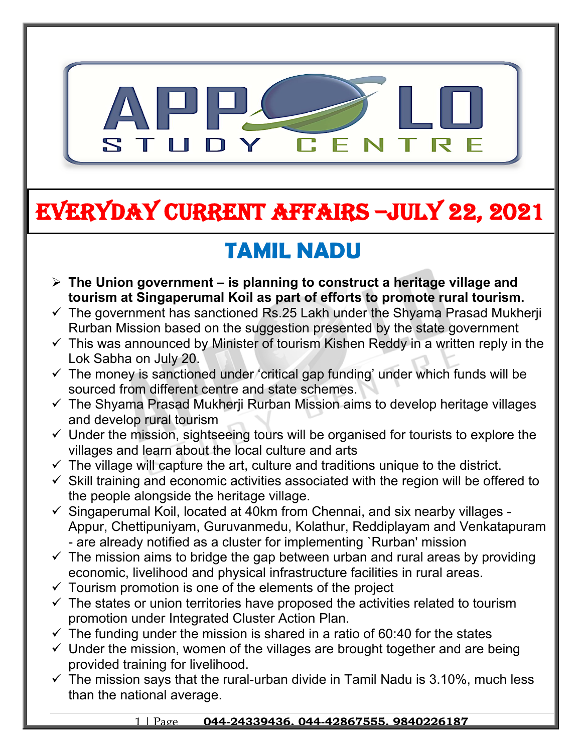

# **EVERYDAY CURRENT AFFAIRS –jULY 22, 2021**

# **TAMIL NADU**

- **The Union government is planning to construct a heritage village and tourism at Singaperumal Koil as part of efforts to promote rural tourism.**
- $\checkmark$  The government has sanctioned Rs.25 Lakh under the Shyama Prasad Mukherji Rurban Mission based on the suggestion presented by the state government
- $\checkmark$  This was announced by Minister of tourism Kishen Reddy in a written reply in the Lok Sabha on July 20.
- $\checkmark$  The money is sanctioned under 'critical gap funding' under which funds will be sourced from different centre and state schemes.
- $\checkmark$  The Shyama Prasad Mukherji Rurban Mission aims to develop heritage villages and develop rural tourism
- $\checkmark$  Under the mission, sightseeing tours will be organised for tourists to explore the villages and learn about the local culture and arts
- $\checkmark$  The village will capture the art, culture and traditions unique to the district.
- $\checkmark$  Skill training and economic activities associated with the region will be offered to the people alongside the heritage village.
- $\checkmark$  Singaperumal Koil, located at 40km from Chennai, and six nearby villages -Appur, Chettipuniyam, Guruvanmedu, Kolathur, Reddiplayam and Venkatapuram - are already notified as a cluster for implementing `Rurban' mission
- $\checkmark$  The mission aims to bridge the gap between urban and rural areas by providing economic, livelihood and physical infrastructure facilities in rural areas.
- $\checkmark$  Tourism promotion is one of the elements of the project

**-**

- $\checkmark$  The states or union territories have proposed the activities related to tourism promotion under Integrated Cluster Action Plan.
- $\checkmark$  The funding under the mission is shared in a ratio of 60:40 for the states
- $\checkmark$  Under the mission, women of the villages are brought together and are being provided training for livelihood.
- $\checkmark$  The mission says that the rural-urban divide in Tamil Nadu is 3.10%, much less than the national average.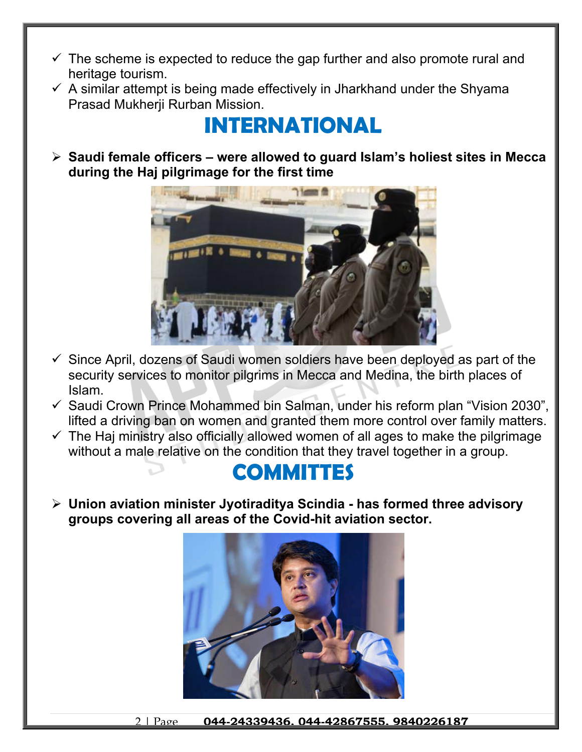- $\checkmark$  The scheme is expected to reduce the gap further and also promote rural and heritage tourism.
- $\checkmark$  A similar attempt is being made effectively in Jharkhand under the Shyama Prasad Mukherji Rurban Mission.

## **INTERNATIONAL**

 **Saudi female officers – were allowed to guard Islam's holiest sites in Mecca during the Haj pilgrimage for the first time**



- $\checkmark$  Since April, dozens of Saudi women soldiers have been deployed as part of the security services to monitor pilgrims in Mecca and Medina, the birth places of Islam.
- $\checkmark$  Saudi Crown Prince Mohammed bin Salman, under his reform plan "Vision 2030", lifted a driving ban on women and granted them more control over family matters.
- $\checkmark$  The Haj ministry also officially allowed women of all ages to make the pilgrimage without a male relative on the condition that they travel together in a group.

### **COMMITTES**

 **Union aviation minister Jyotiraditya Scindia - has formed three advisory groups covering all areas of the Covid-hit aviation sector.**



2 | Page **044-24339436, 044-42867555, 9840226187**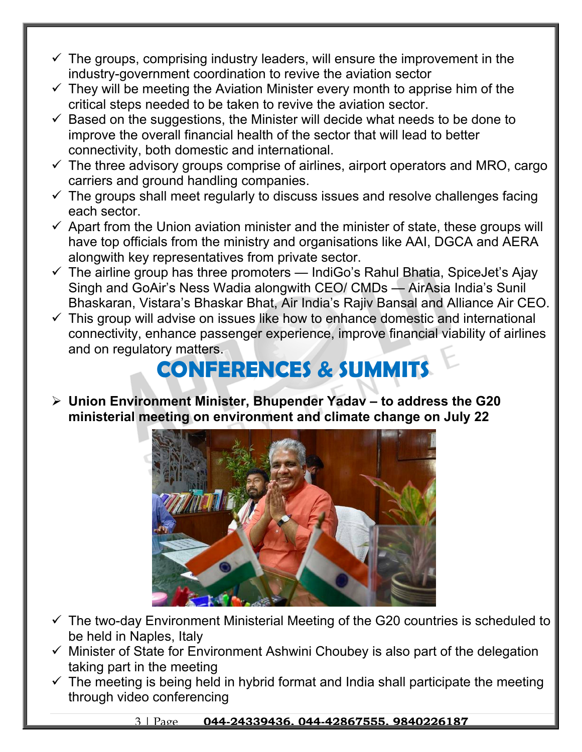- $\checkmark$  The groups, comprising industry leaders, will ensure the improvement in the industry-government coordination to revive the aviation sector
- $\checkmark$  They will be meeting the Aviation Minister every month to apprise him of the critical steps needed to be taken to revive the aviation sector.
- $\checkmark$  Based on the suggestions, the Minister will decide what needs to be done to improve the overall financial health of the sector that will lead to better connectivity, both domestic and international.
- $\checkmark$  The three advisory groups comprise of airlines, airport operators and MRO, cargo carriers and ground handling companies.
- $\checkmark$  The groups shall meet regularly to discuss issues and resolve challenges facing each sector.
- $\checkmark$  Apart from the Union aviation minister and the minister of state, these groups will have top officials from the ministry and organisations like AAI, DGCA and AERA alongwith key representatives from private sector.
- $\checkmark$  The airline group has three promoters IndiGo's Rahul Bhatia, SpiceJet's Ajay Singh and GoAir's Ness Wadia alongwith CEO/ CMDs — AirAsia India's Sunil Bhaskaran, Vistara's Bhaskar Bhat, Air India's Rajiv Bansal and Alliance Air CEO.
- $\checkmark$  This group will advise on issues like how to enhance domestic and international connectivity, enhance passenger experience, improve financial viability of airlines and on regulatory matters.

## **CONFERENCES & SUMMITS**

 **Union Environment Minister, Bhupender Yadav – to address the G20 ministerial meeting on environment and climate change on July 22**



- $\checkmark$  The two-day Environment Ministerial Meeting of the G20 countries is scheduled to be held in Naples, Italy
- $\checkmark$  Minister of State for Environment Ashwini Choubey is also part of the delegation taking part in the meeting
- $\checkmark$  The meeting is being held in hybrid format and India shall participate the meeting through video conferencing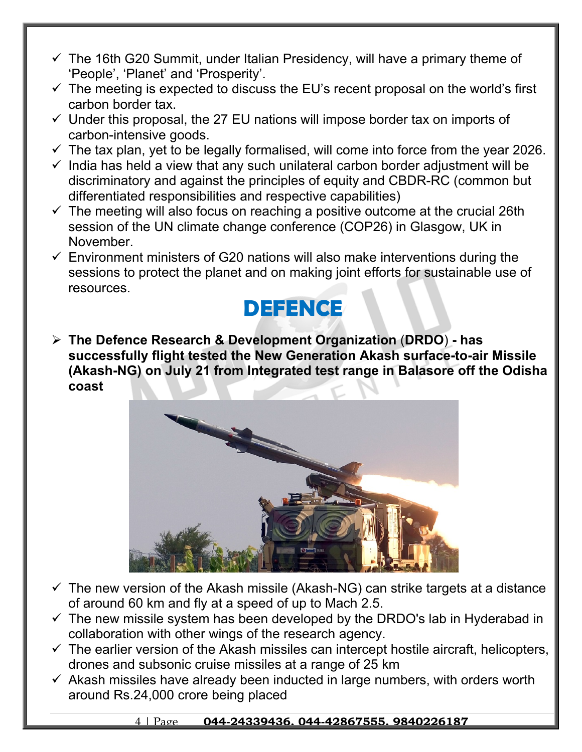- $\checkmark$  The 16th G20 Summit, under Italian Presidency, will have a primary theme of 'People', 'Planet' and 'Prosperity'.
- $\checkmark$  The meeting is expected to discuss the EU's recent proposal on the world's first carbon border tax.
- $\checkmark$  Under this proposal, the 27 EU nations will impose border tax on imports of carbon-intensive goods.
- $\checkmark$  The tax plan, yet to be legally formalised, will come into force from the year 2026.
- $\checkmark$  India has held a view that any such unilateral carbon border adjustment will be discriminatory and against the principles of equity and CBDR-RC (common but differentiated responsibilities and respective capabilities)
- $\checkmark$  The meeting will also focus on reaching a positive outcome at the crucial 26th session of the UN climate change conference (COP26) in Glasgow, UK in November.
- $\checkmark$  Environment ministers of G20 nations will also make interventions during the sessions to protect the planet and on making joint efforts for sustainable use of resources.



 **The Defence Research & Development Organization** (**DRDO**) **- has successfully flight tested the New Generation Akash surface-to-air Missile (Akash-NG) on July 21 from Integrated test range in Balasore off the Odisha coast**



- $\checkmark$  The new version of the Akash missile (Akash-NG) can strike targets at a distance of around 60 km and fly at a speed of up to Mach 2.5.
- $\checkmark$  The new missile system has been developed by the DRDO's lab in Hyderabad in collaboration with other wings of the research agency.
- $\checkmark$  The earlier version of the Akash missiles can intercept hostile aircraft, helicopters, drones and subsonic cruise missiles at a range of 25 km
- $\checkmark$  Akash missiles have already been inducted in large numbers, with orders worth around Rs.24,000 crore being placed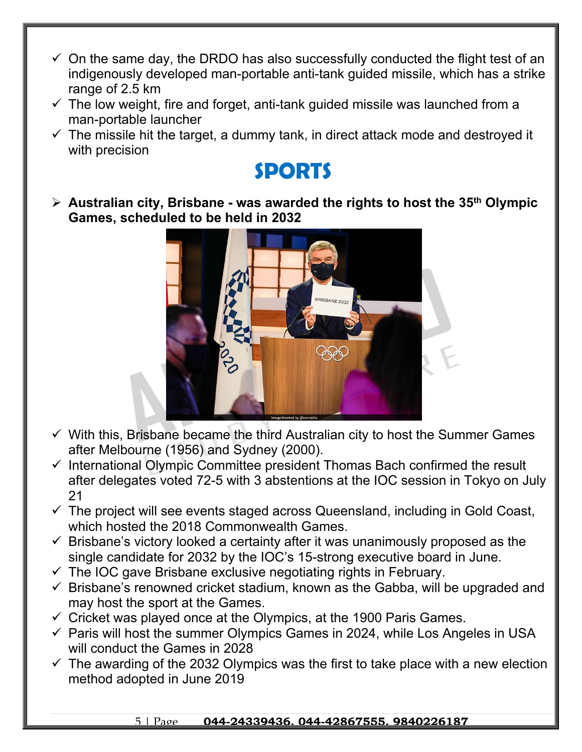- $\checkmark$  On the same day, the DRDO has also successfully conducted the flight test of an indigenously developed man-portable anti-tank guided missile, which has a strike range of 2.5 km
- $\checkmark$  The low weight, fire and forget, anti-tank guided missile was launched from a man-portable launcher
- $\checkmark$  The missile hit the target, a dummy tank, in direct attack mode and destroyed it with precision

### **SPORTS**

 **Australian city, Brisbane - was awarded the rights to host the 35th Olympic Games, scheduled to be held in 2032** 



- $\checkmark$  With this, Brisbane became the third Australian city to host the Summer Games after Melbourne (1956) and Sydney (2000).
- $\checkmark$  International Olympic Committee president Thomas Bach confirmed the result after delegates voted 72-5 with 3 abstentions at the IOC session in Tokyo on July 21
- $\checkmark$  The project will see events staged across Queensland, including in Gold Coast, which hosted the 2018 Commonwealth Games.
- $\checkmark$  Brisbane's victory looked a certainty after it was unanimously proposed as the single candidate for 2032 by the IOC's 15-strong executive board in June.
- $\checkmark$  The IOC gave Brisbane exclusive negotiating rights in February.
- $\checkmark$  Brisbane's renowned cricket stadium, known as the Gabba, will be upgraded and may host the sport at the Games.
- $\checkmark$  Cricket was played once at the Olympics, at the 1900 Paris Games.
- $\checkmark$  Paris will host the summer Olympics Games in 2024, while Los Angeles in USA will conduct the Games in 2028
- $\checkmark$  The awarding of the 2032 Olympics was the first to take place with a new election method adopted in June 2019

### 5 | Page **044-24339436, 044-42867555, 9840226187**